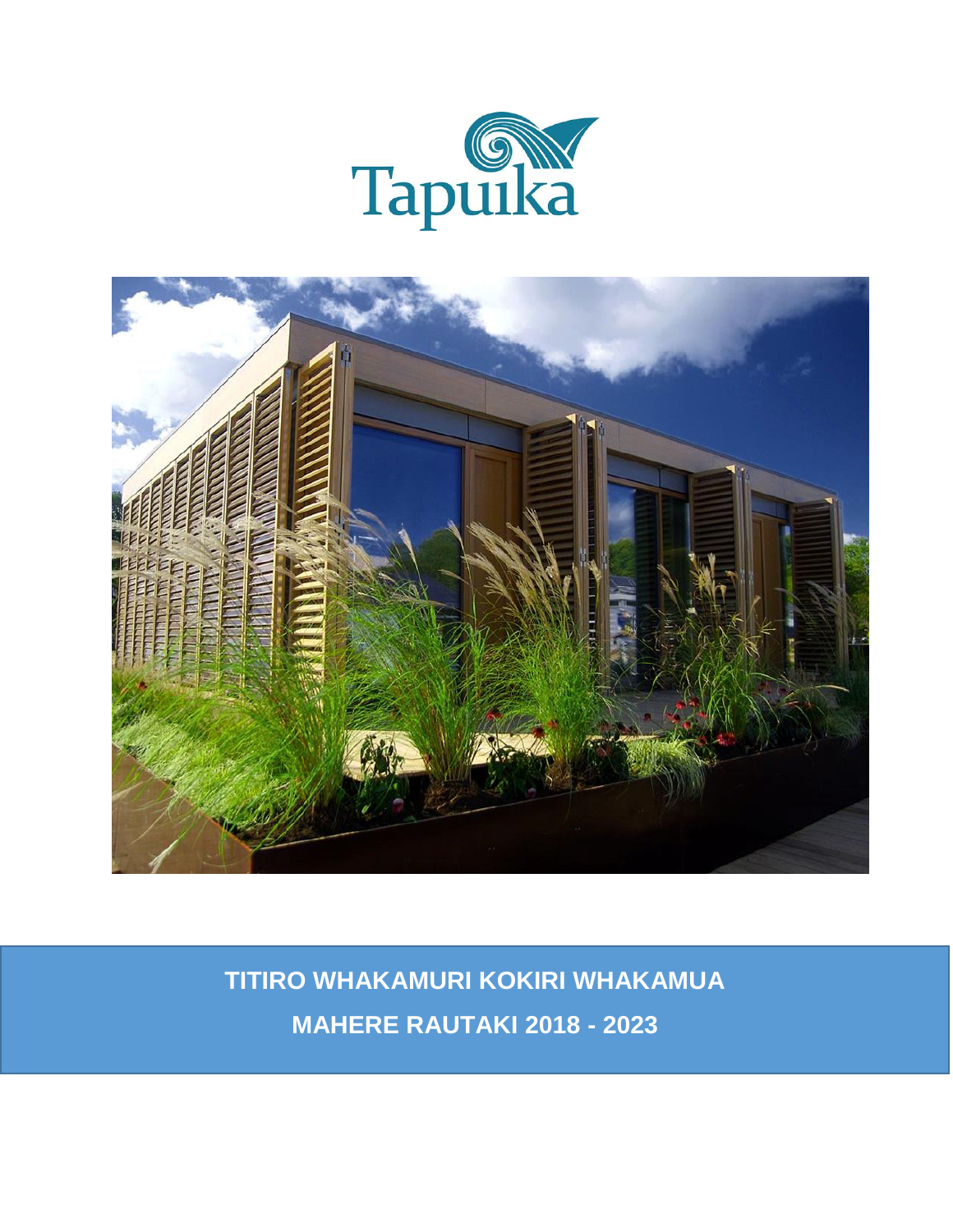



**TITIRO WHAKAMURI KOKIRI WHAKAMUA MAHERE RAUTAKI 2018 - 2023**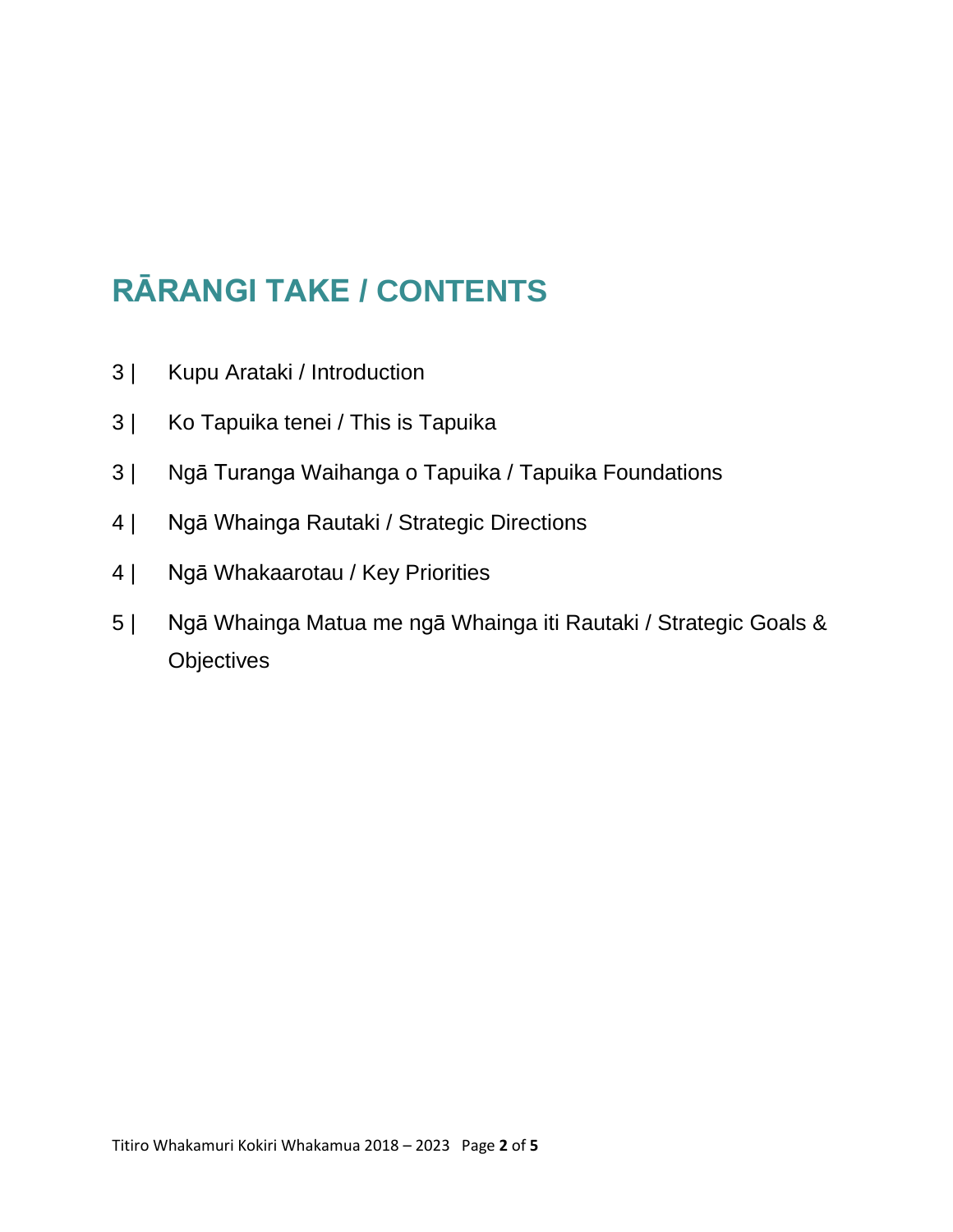# **RĀRANGI TAKE / CONTENTS**

- 3 | Kupu Arataki / Introduction
- 3 | Ko Tapuika tenei / This is Tapuika
- 3 | Ngā Turanga Waihanga o Tapuika / Tapuika Foundations
- 4 | Ngā Whainga Rautaki / Strategic Directions
- 4 | Ngā Whakaarotau / Key Priorities
- 5 | Ngā Whainga Matua me ngā Whainga iti Rautaki / Strategic Goals & **Objectives**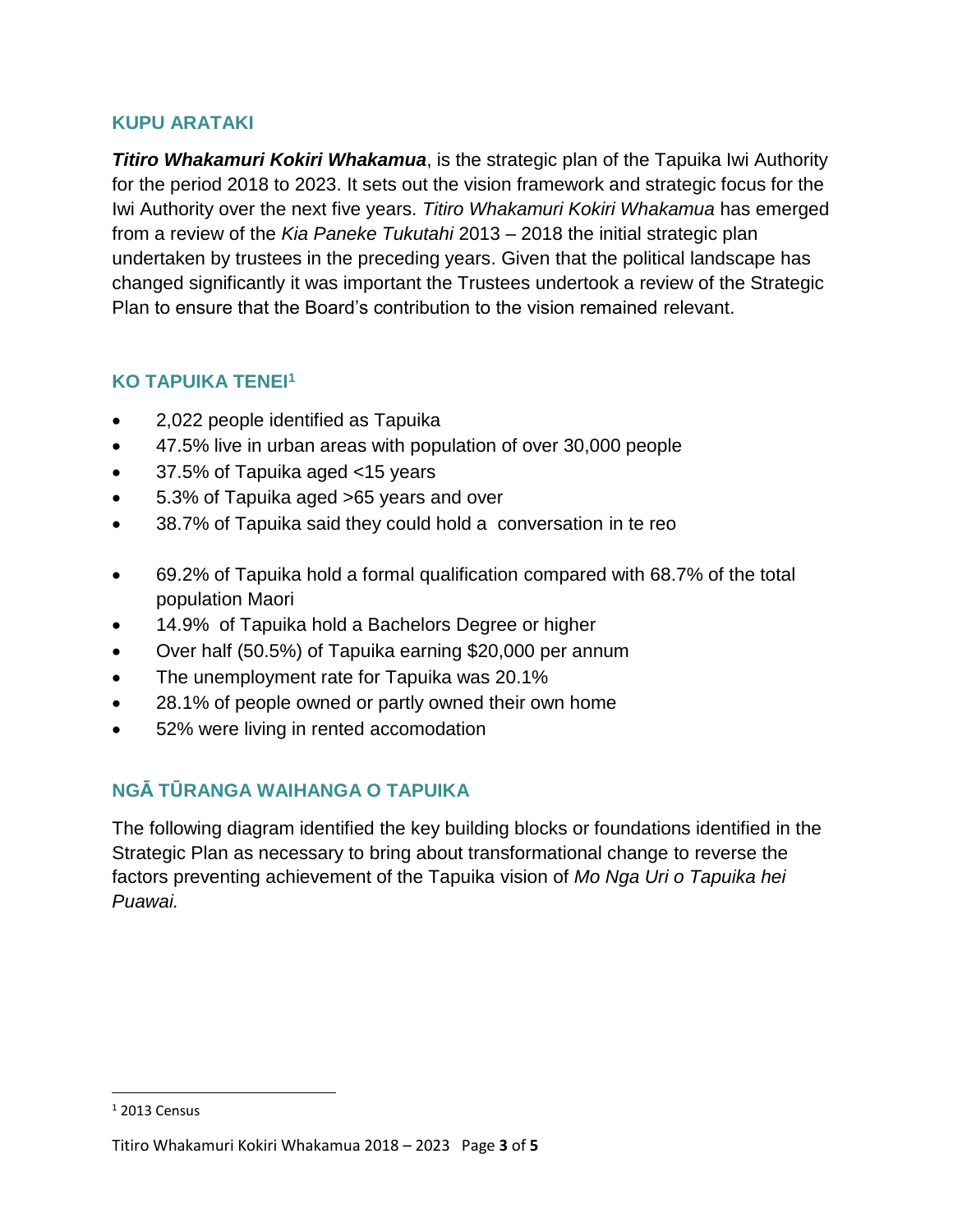#### **KUPU ARATAKI**

*Titiro Whakamuri Kokiri Whakamua*, is the strategic plan of the Tapuika Iwi Authority for the period 2018 to 2023. It sets out the vision framework and strategic focus for the Iwi Authority over the next five years. *Titiro Whakamuri Kokiri Whakamua* has emerged from a review of the *Kia Paneke Tukutahi* 2013 – 2018 the initial strategic plan undertaken by trustees in the preceding years. Given that the political landscape has changed significantly it was important the Trustees undertook a review of the Strategic Plan to ensure that the Board's contribution to the vision remained relevant.

#### **KO TAPUIKA TENEI<sup>1</sup>**

- 2,022 people identified as Tapuika
- 47.5% live in urban areas with population of over 30,000 people
- 37.5% of Tapuika aged <15 years
- 5.3% of Tapuika aged >65 years and over
- 38.7% of Tapuika said they could hold a conversation in te reo
- 69.2% of Tapuika hold a formal qualification compared with 68.7% of the total population Maori
- 14.9% of Tapuika hold a Bachelors Degree or higher
- Over half (50.5%) of Tapuika earning \$20,000 per annum
- The unemployment rate for Tapuika was 20.1%
- 28.1% of people owned or partly owned their own home
- 52% were living in rented accomodation

## **NGĀ TŪRANGA WAIHANGA O TAPUIKA**

The following diagram identified the key building blocks or foundations identified in the Strategic Plan as necessary to bring about transformational change to reverse the factors preventing achievement of the Tapuika vision of *Mo Nga Uri o Tapuika hei Puawai.* 

 $\overline{\phantom{a}}$ 

 $12013$  Census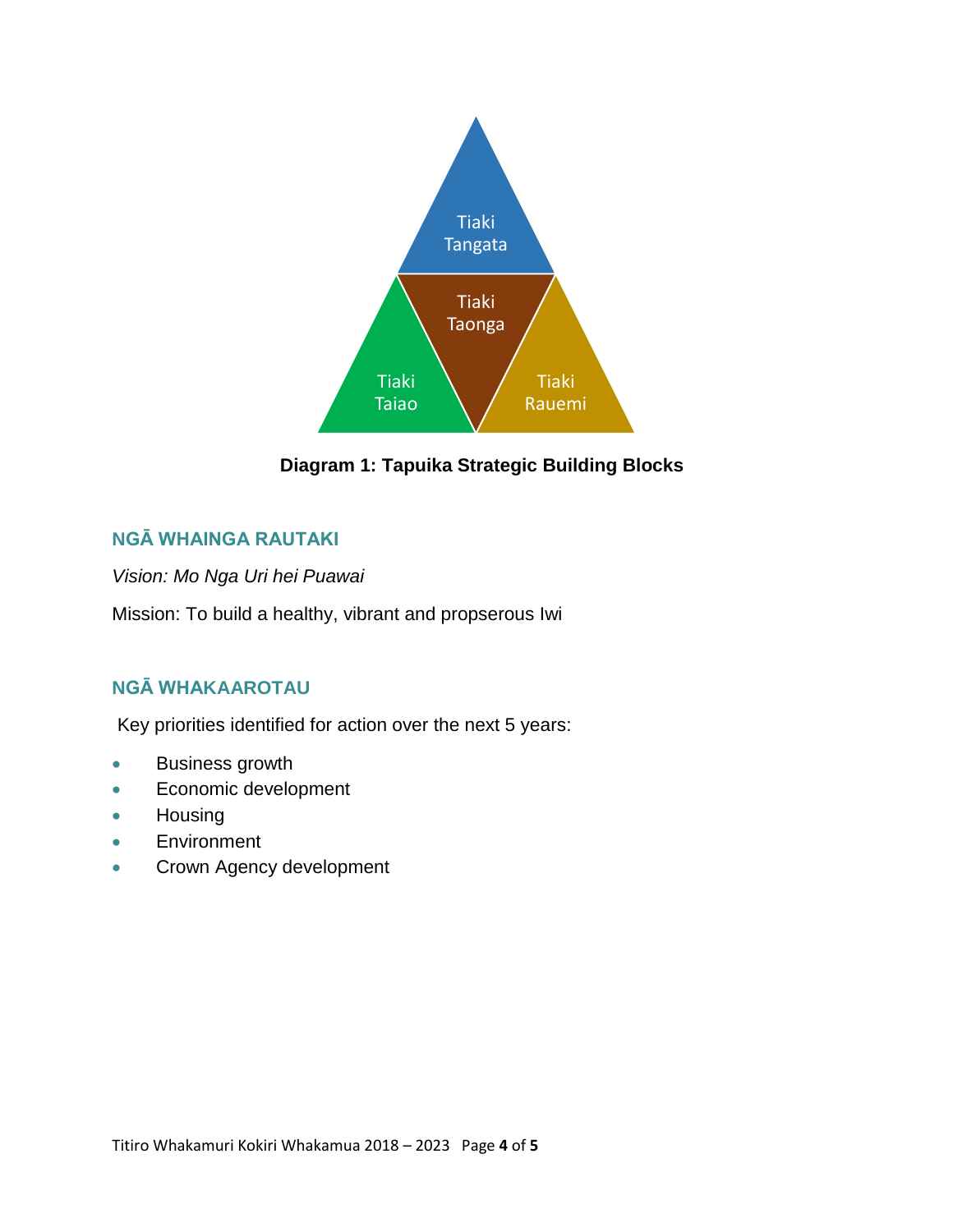

**Diagram 1: Tapuika Strategic Building Blocks** 

### **NGĀ WHAINGA RAUTAKI**

*Vision: Mo Nga Uri hei Puawai*

Mission: To build a healthy, vibrant and propserous Iwi

## **NGĀ WHAKAAROTAU**

Key priorities identified for action over the next 5 years:

- **Business growth**
- **Economic development**
- Housing
- **Environment**
- **Crown Agency development**